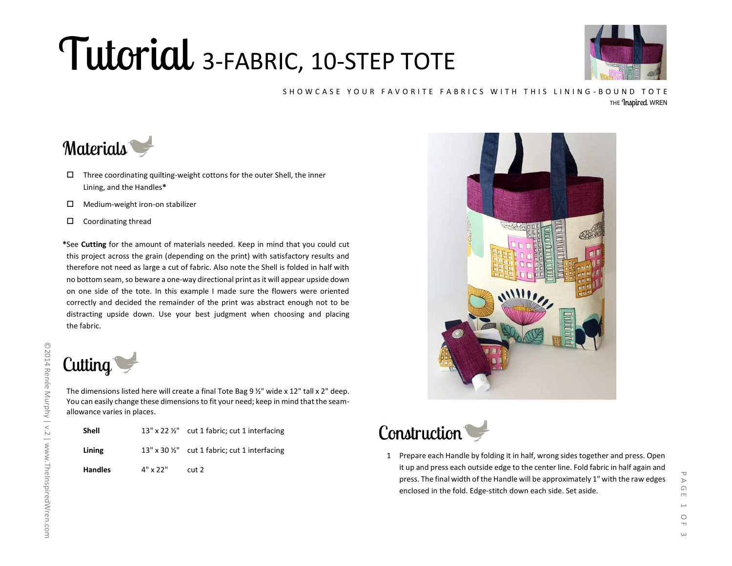## Tutorial 3-FABRIC, 10-STEP TOTE



## SHOWCASE YOUR FAVORITE FABRICS WITH THIS LINING-BOUND TOTE THE *Inspired* WREN

## Materials

- $\Box$  Three coordinating quilting-weight cottons for the outer Shell, the inner Lining, and the Handles**\***
- $\Box$  Medium-weight iron-on stabilizer
- $\square$  Coordinating thread

**\***See **Cutting** for the amount of materials needed. Keep in mind that you could cut this project across the grain (depending on the print) with satisfactory results and therefore not need as large a cut of fabric. Also note the Shell is folded in half with no bottom seam, so beware a one-way directional print as it will appear upside down on one side of the tote. In this example I made sure the flowers were oriented correctly and decided the remainder of the print was abstract enough not to be distracting upside down. Use your best judgment when choosing and placing the fabric.



The dimensions listed here will create a final Tote Bag 9 ½" wide x 12" tall x 2" deep. You can easily change these dimensions to fit your need; keep in mind that the seamallowance varies in places.

| Shell          |                 | 13" x 22 1/2" cut 1 fabric; cut 1 interfacing            |
|----------------|-----------------|----------------------------------------------------------|
| Lining         |                 | 13" x 30 $\frac{1}{2}$ " cut 1 fabric; cut 1 interfacing |
| <b>Handles</b> | $4" \times 22"$ | cut2                                                     |





1 Prepare each Handle by folding it in half, wrong sides together and press. Open it up and press each outside edge to the center line. Fold fabric in half again and press. The final width of the Handle will be approximately 1" with the raw edges enclosed in the fold. Edge-stitch down each side. Set aside.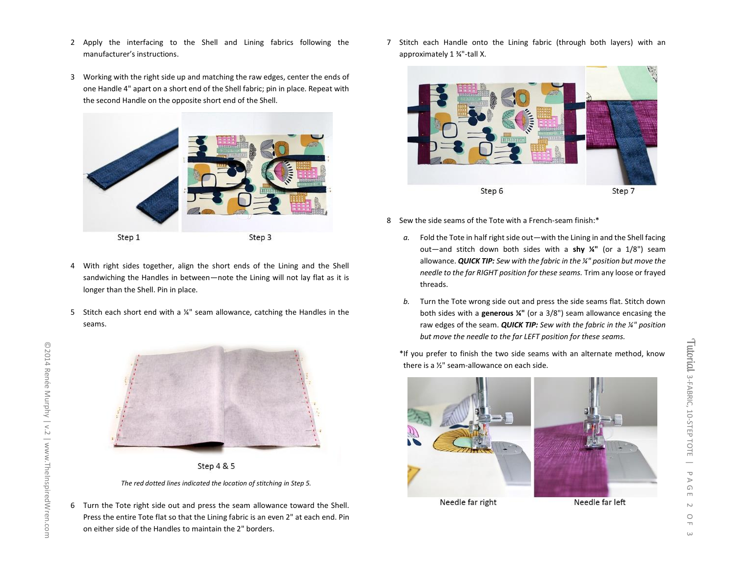- 2 Apply the interfacing to the Shell and Lining fabrics following the manufacturer's instructions.
- 3 Working with the right side up and matching the raw edges, center the ends of one Handle 4" apart on a short end of the Shell fabric; pin in place. Repeat with the second Handle on the opposite short end of the Shell.



- 4 With right sides together, align the short ends of the Lining and the Shell sandwiching the Handles in between—note the Lining will not lay flat as it is longer than the Shell. Pin in place.
- 5 Stitch each short end with a ¼" seam allowance, catching the Handles in the seams.





*The red dotted lines indicated the location of stitching in Step 5.*

6 Turn the Tote right side out and press the seam allowance toward the Shell. Press the entire Tote flat so that the Lining fabric is an even 2" at each end. Pin on either side of the Handles to maintain the 2" borders.

7 Stitch each Handle onto the Lining fabric (through both layers) with an approximately 1 ¾"-tall X.



- 8 Sew the side seams of the Tote with a French-seam finish:\*
	- *a.* Fold the Tote in half right side out—with the Lining in and the Shell facing out—and stitch down both sides with a **shy ¼"** (or a 1/8") seam allowance. *QUICK TIP: Sew with the fabric in the ¼" position but move the needle to the far RIGHT position for these seams.* Trim any loose or frayed threads.
	- *b.* Turn the Tote wrong side out and press the side seams flat. Stitch down both sides with a **generous ¼"** (or a 3/8") seam allowance encasing the raw edges of the seam. *QUICK TIP: Sew with the fabric in the ¼" position but move the needle to the far LEFT position for these seams.*

\*If you prefer to finish the two side seams with an alternate method, know there is a ½" seam-allowance on each side.



Needle far right

Needle far left

3-FABRIC, 10-STEP TOTE

Tutorial 3-FABRIC, 10-STEP TOTE

 $\frac{1}{\sigma}$ 

 $\triangleright$  $\bigcirc$